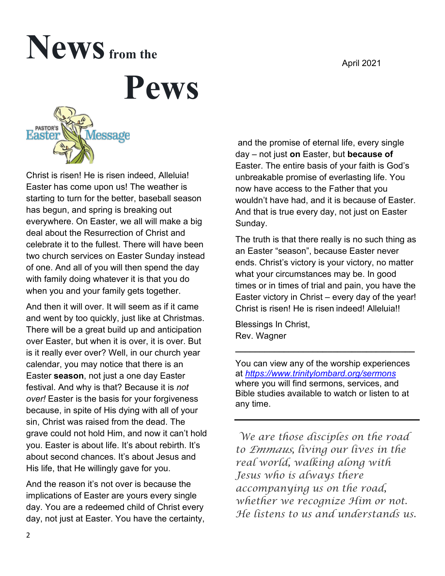#### April 2021

# News from the

**Pews**



Christ is risen! He is risen indeed, Alleluia! Easter has come upon us! The weather is starting to turn for the better, baseball season has begun, and spring is breaking out everywhere. On Easter, we all will make a big deal about the Resurrection of Christ and celebrate it to the fullest. There will have been two church services on Easter Sunday instead of one. And all of you will then spend the day with family doing whatever it is that you do when you and your family gets together.

And then it will over. It will seem as if it came and went by too quickly, just like at Christmas. There will be a great build up and anticipation over Easter, but when it is over, it is over. But is it really ever over? Well, in our church year calendar, you may notice that there is an Easter **season**, not just a one day Easter festival. And why is that? Because it is *not over!* Easter is the basis for your forgiveness because, in spite of His dying with all of your sin, Christ was raised from the dead. The grave could not hold Him, and now it can't hold you. Easter is about life. It's about rebirth. It's about second chances. It's about Jesus and His life, that He willingly gave for you.

And the reason it's not over is because the implications of Easter are yours every single day. You are a redeemed child of Christ every day, not just at Easter. You have the certainty,

and the promise of eternal life, every single day – not just **on** Easter, but **because of** Easter. The entire basis of your faith is God's unbreakable promise of everlasting life. You now have access to the Father that you wouldn't have had, and it is because of Easter. And that is true every day, not just on Easter Sunday.

The truth is that there really is no such thing as an Easter "season", because Easter never ends. Christ's victory is your victory, no matter what your circumstances may be. In good times or in times of trial and pain, you have the Easter victory in Christ – every day of the year! Christ is risen! He is risen indeed! Alleluia!!

Blessings In Christ, Rev. Wagner

You can view any of the worship experiences at *<https://www.trinitylombard.org/sermons>* where you will find sermons, services, and Bible studies available to watch or listen to at any time.

**\_\_\_\_\_\_\_\_\_\_\_\_\_\_\_\_\_\_\_\_\_\_\_\_\_\_\_\_\_\_\_\_\_\_\_\_\_**

 *We are those disciples on the road to Emmaus, living our lives in the real world, walking along with Jesus who is always there accompanying us on the road, whether we recognize Him or not. He listens to us and understands us.*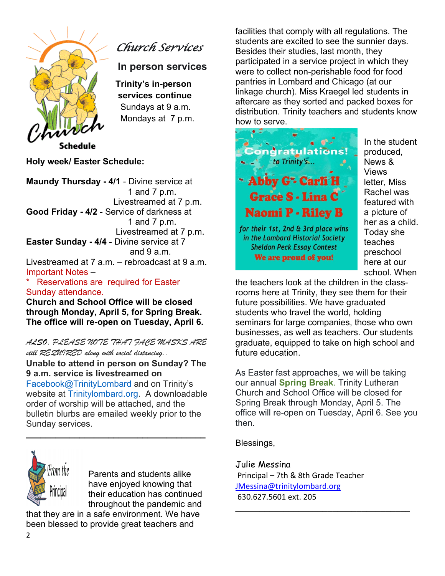

*Church Services* 

**In person services** 

**Trinity's in-person services continue**  Sundays at 9 a.m. Mondays at 7 p.m.

Schedule

**Holy week/ Easter Schedule:** 

**Maundy Thursday - 4/1** - Divine service at 1 and 7 p.m. Livestreamed at 7 p.m. **Good Friday - 4/2** - Service of darkness at 1 and 7 p.m. Livestreamed at 7 p.m. **Easter Sunday - 4/4** - Divine service at 7 and  $9a \, m$ Livestreamed at 7 a.m. – rebroadcast at 9 a.m. Important Notes –

\* Reservations are required for Easter Sunday attendance.

**Church and School Office will be closed through Monday, April 5, for Spring Break. The office will re-open on Tuesday, April 6.**

*ALSO, PLEASE NOTE THAT FACE MASKS ARE still REQUIRED along with social distancing..*

**Unable to attend in person on Sunday? The 9 a.m. service is livestreamed on** [Facebook@TrinityLombard](about:blank) and on Trinity's website at [Trinitylombard.org.](about:blank) A downloadable order of worship will be attached, and the bulletin blurbs are emailed weekly prior to the Sunday services.

**\_\_\_\_\_\_\_\_\_\_\_\_\_\_\_\_\_\_\_\_\_\_\_\_\_\_\_\_\_\_\_\_\_\_\_\_\_**



Parents and students alike have enjoyed knowing that their education has continued throughout the pandemic and

that they are in a safe environment. We have been blessed to provide great teachers and

facilities that comply with all regulations. The students are excited to see the sunnier days. Besides their studies, last month, they participated in a service project in which they were to collect non-perishable food for food pantries in Lombard and Chicago (at our linkage church). Miss Kraegel led students in aftercare as they sorted and packed boxes for distribution. Trinity teachers and students know how to serve.



In the student produced, News & Views letter, Miss Rachel was featured with a picture of her as a child. Today she teaches preschool here at our school. When

the teachers look at the children in the classrooms here at Trinity, they see them for their future possibilities. We have graduated students who travel the world, holding seminars for large companies, those who own businesses, as well as teachers. Our students graduate, equipped to take on high school and future education.

As Easter fast approaches, we will be taking our annual **Spring Break**. Trinity Lutheran Church and School Office will be closed for Spring Break through Monday, April 5. The office will re-open on Tuesday, April 6. See you then.

**\_\_\_\_\_\_\_\_\_\_\_\_\_\_\_\_\_\_\_\_\_\_\_\_\_\_\_\_\_\_\_\_\_\_\_\_**

Blessings,

Julie Messina Principal – 7th & 8th Grade Teacher [JMessina@trinitylombard.org](mailto:JMessina@trinitylombard.org) 630.627.5601 ext. 205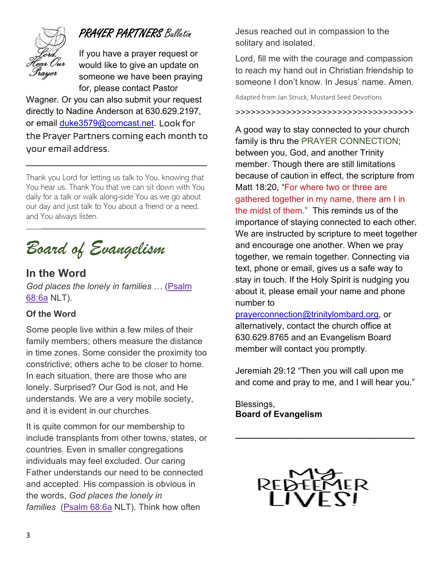

## PRAYER PARTNERS Bulletin

If you have a prayer request or would like to give an update on someone we have been praying for, please contact Pastor

Wagner. Or you can also submit your request directly to Nadine Anderson at 630.629.2197, or email [duke3579@comcast.net.](mailto:duke3579@comcast.net) Look for the Prayer Partners coming each month to your email address.

 $\overline{\phantom{a}}$  , and the set of the set of the set of the set of the set of the set of the set of the set of the set of the set of the set of the set of the set of the set of the set of the set of the set of the set of the s

Thank you Lord for letting us talk to You, knowing that You hear us. Thank You that we can sit down with You daily for a talk or walk along-side You as we go about our day and just talk to You about a friend or a need, and You always listen.

 $\overline{\phantom{a}}$  , and the contract of the contract of the contract of the contract of the contract of the contract of the contract of the contract of the contract of the contract of the contract of the contract of the contrac

# *Board of Evangelism*

## **In the Word**

*God places the lonely in families …* [\(Psalm](http://r20.rs6.net/tn.jsp?f=001fFyWZYC2iA6ZaezLavWQGdXk5G7ayW4wvC_7FApud6XA6SJzM7AmK8btBaB8mLMFkDW78RbOe6IvSNLb3XNoHvMnYC3nbZVrAb7lsR09UCNIo9q4Mg8WFhnrRcTzFsi4AWBCIBpIaBBlrprQAqGiQPMny3PV2qeOju9Zy7VZ96A=&c=AVkUy7qSqkEosgzSkkZqtxmZoecZwisTYYZ6AAqS0WC8dpOPZP6C0g==&ch=2-jsuSyiyF_OROX0raW9naVfGZ86iPvXIbgCFq98_R4kkFDwGkkB-g==)  [68:6a](http://r20.rs6.net/tn.jsp?f=001fFyWZYC2iA6ZaezLavWQGdXk5G7ayW4wvC_7FApud6XA6SJzM7AmK8btBaB8mLMFkDW78RbOe6IvSNLb3XNoHvMnYC3nbZVrAb7lsR09UCNIo9q4Mg8WFhnrRcTzFsi4AWBCIBpIaBBlrprQAqGiQPMny3PV2qeOju9Zy7VZ96A=&c=AVkUy7qSqkEosgzSkkZqtxmZoecZwisTYYZ6AAqS0WC8dpOPZP6C0g==&ch=2-jsuSyiyF_OROX0raW9naVfGZ86iPvXIbgCFq98_R4kkFDwGkkB-g==) NLT).

#### **Of the Word**

Some people live within a few miles of their family members; others measure the distance in time zones. Some consider the proximity too constrictive; others ache to be closer to home. In each situation, there are those who are lonely. Surprised? Our God is not, and He understands. We are a very mobile society, and it is evident in our churches.

It is quite common for our membership to include transplants from other towns, states, or countries. Even in smaller congregations individuals may feel excluded. Our caring Father understands our need to be connected and accepted. His compassion is obvious in the words, *God places the lonely in families* [\(Psalm 68:6a](http://r20.rs6.net/tn.jsp?f=001fFyWZYC2iA6ZaezLavWQGdXk5G7ayW4wvC_7FApud6XA6SJzM7AmK8btBaB8mLMFkDW78RbOe6IvSNLb3XNoHvMnYC3nbZVrAb7lsR09UCNIo9q4Mg8WFhnrRcTzFsi4AWBCIBpIaBBlrprQAqGiQPMny3PV2qeOju9Zy7VZ96A=&c=AVkUy7qSqkEosgzSkkZqtxmZoecZwisTYYZ6AAqS0WC8dpOPZP6C0g==&ch=2-jsuSyiyF_OROX0raW9naVfGZ86iPvXIbgCFq98_R4kkFDwGkkB-g==) NLT). Think how often

Jesus reached out in compassion to the solitary and isolated.

Lord, fill me with the courage and compassion to reach my hand out in Christian friendship to someone I don't know. In Jesus' name. Amen.

Adapted from Jan Struck, Mustard Seed Devotions

>>>>>>>>>>>>>>>>>>>>>>>>>>>>>>>>>>>

A good way to stay connected to your church family is thru the PRAYER CONNECTION; between you, God, and another Trinity member. Though there are still limitations because of caution in effect, the scripture from Matt 18:20, "For where two or three are gathered together in my name, there am I in the midst of them." This reminds us of the importance of staying connected to each other. We are instructed by scripture to meet together and encourage one another. When we pray together, we remain together. Connecting via text, phone or email, gives us a safe way to stay in touch. If the Holy Spirit is nudging you about it, please email your name and phone number to

[prayerconnection@trinitylombard.org,](mailto:prayerconnection@trinitylombard.org) or alternatively, contact the church office at 630.629.8765 and an Evangelism Board member will contact you promptly.

Jeremiah 29:12 "Then you will call upon me and come and pray to me, and I will hear you."

**\_\_\_\_\_\_\_\_\_\_\_\_\_\_\_\_\_\_\_\_\_\_\_\_\_\_\_\_\_\_\_\_\_\_\_\_\_**

Blessings, **Board of Evangelism**

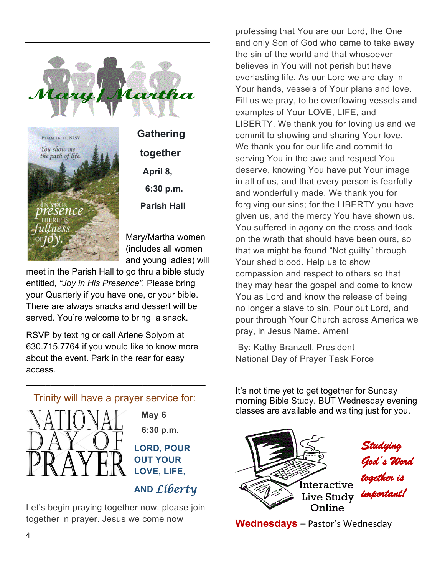



 **Gathering together April 8, 6:30 p.m. Parish Hall** 

Mary/Martha women (includes all women and young ladies) will

meet in the Parish Hall to go thru a bible study entitled, *"Joy in His Presence".* Please bring your Quarterly if you have one, or your bible. There are always snacks and dessert will be served. You're welcome to bring a snack.

RSVP by texting or call Arlene Solyom at 630.715.7764 if you would like to know more about the event. Park in the rear for easy access.



**\_\_\_\_\_\_\_\_\_\_\_\_\_\_\_\_\_\_\_\_\_\_\_\_\_\_\_\_\_\_\_\_\_\_\_\_\_**

 **May 6 6:30 p.m.**

**LORD, POUR OUT YOUR LOVE, LIFE,** 

 **AND** *Liberty* 

Let's begin praying together now, please join together in prayer. Jesus we come now

professing that You are our Lord, the One and only Son of God who came to take away the sin of the world and that whosoever believes in You will not perish but have everlasting life. As our Lord we are clay in Your hands, vessels of Your plans and love. Fill us we pray, to be overflowing vessels and examples of Your LOVE, LIFE, and LIBERTY. We thank you for loving us and we commit to showing and sharing Your love. We thank you for our life and commit to serving You in the awe and respect You deserve, knowing You have put Your image in all of us, and that every person is fearfully and wonderfully made. We thank you for forgiving our sins; for the LIBERTY you have given us, and the mercy You have shown us. You suffered in agony on the cross and took on the wrath that should have been ours, so that we might be found "Not guilty" through Your shed blood. Help us to show compassion and respect to others so that they may hear the gospel and come to know You as Lord and know the release of being no longer a slave to sin. Pour out Lord, and pour through Your Church across America we pray, in Jesus Name. Amen!

By: Kathy Branzell, President National Day of Prayer Task Force

It's not time yet to get together for Sunday morning Bible Study. BUT Wednesday evening classes are available and waiting just for you.

\_\_\_\_\_\_\_\_\_\_\_\_\_\_\_\_\_\_\_\_\_\_\_\_\_\_\_\_\_\_\_\_\_\_\_\_\_



**Wednesdays** – Pastor's Wednesday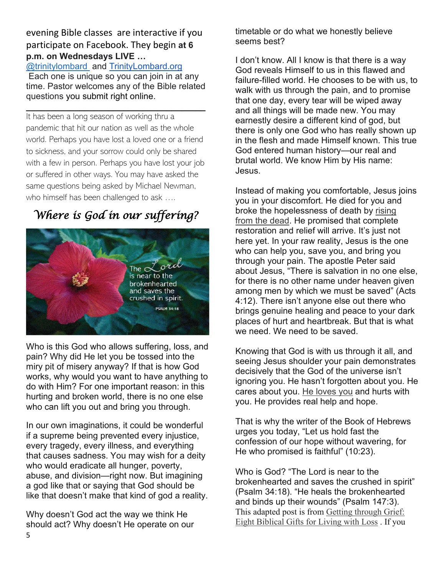evening Bible classes are interactive if you participate on Facebook. They begin **at 6 p.m. on Wednesdays LIVE …**

[@trinitylombard](about:blank) and [TrinityLombard.org](http://www.trinitylombard.org/) Each one is unique so you can join in at any time. Pastor welcomes any of the Bible related questions you submit right online.

**\_\_\_\_\_\_\_\_\_\_\_\_\_\_\_\_\_\_\_\_\_\_\_\_\_\_\_\_\_\_\_\_\_\_\_\_\_**

It has been a long season of working thru a pandemic that hit our nation as well as the whole world. Perhaps you have lost a loved one or a friend to sickness, and your sorrow could only be shared with a few in person. Perhaps you have lost your job or suffered in other ways. You may have asked the same questions being asked by Michael Newman, who himself has been challenged to ask ....

## *Where is God in our suffering?*



Who is this God who allows suffering, loss, and pain? Why did He let you be tossed into the miry pit of misery anyway? If that is how God works, why would you want to have anything to do with Him? For one important reason: in this hurting and broken world, there is no one else who can lift you out and bring you through.

In our own imaginations, it could be wonderful if a supreme being prevented every injustice, every tragedy, every illness, and everything that causes sadness. You may wish for a deity who would eradicate all hunger, poverty, abuse, and division—right now. But imagining a god like that or saying that God should be like that doesn't make that kind of god a reality.

Why doesn't God act the way we think He should act? Why doesn't He operate on our timetable or do what we honestly believe seems best?

I don't know. All I know is that there is a way God reveals Himself to us in this flawed and failure-filled world. He chooses to be with us, to walk with us through the pain, and to promise that one day, every tear will be wiped away and all things will be made new. You may earnestly desire a different kind of god, but there is only one God who has really shown up in the flesh and made Himself known. This true God entered human history—our real and brutal world. We know Him by His name: Jesus.

Instead of making you comfortable, Jesus joins you in your discomfort. He died for you and broke the hopelessness of death by [rising](https://blog.cph.org/serve/six-reasons-to-have-certainty-in-jesus-resurrection)  [from](https://blog.cph.org/serve/six-reasons-to-have-certainty-in-jesus-resurrection) [the dead.](https://blog.cph.org/serve/six-reasons-to-have-certainty-in-jesus-resurrection) He promised that complete restoration and relief will arrive. It's just not here yet. In your raw reality, Jesus is the one who can help you, save you, and bring you through your pain. The apostle Peter said about Jesus, "There is salvation in no one else, for there is no other name under heaven given among men by which we must be saved" (Acts 4:12). There isn't anyone else out there who brings genuine healing and peace to your dark places of hurt and heartbreak. But that is what we need. We need to be saved.

Knowing that God is with us through it all, and seeing Jesus shoulder your pain demonstrates decisively that the God of the universe isn't ignoring you. He hasn't forgotten about you. He cares about you. [He loves you](https://blog.cph.org/read/four-bible-verses-about-the-love-of-your-god) and hurts with you. He provides real help and hope.

That is why the writer of the Book of Hebrews urges you today, "Let us hold fast the confession of our hope without wavering, for He who promised is faithful" (10:23).

Who is God? "The Lord is near to the brokenhearted and saves the crushed in spirit" (Psalm 34:18). "He heals the brokenhearted and binds up their wounds" (Psalm 147:3). This adapted post is from [Getting through Grief:](https://www.cph.org/p-33879-getting-through-grief-eight-biblical-gifts-for-living-with-loss.aspx)  [Eight Biblical Gifts for Living with Loss](https://www.cph.org/p-33879-getting-through-grief-eight-biblical-gifts-for-living-with-loss.aspx) . If you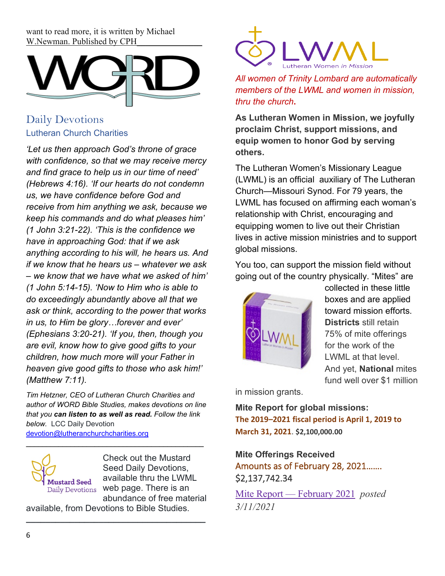want to read more, it is written by Michael W.Newman. Published by CPH



## Daily Devotions Lutheran Church Charities

*'Let us then approach God's throne of grace with confidence, so that we may receive mercy and find grace to help us in our time of need' (Hebrews 4:16). 'If our hearts do not condemn us, we have confidence before God and receive from him anything we ask, because we keep his commands and do what pleases him' (1 John 3:21-22). 'This is the confidence we have in approaching God: that if we ask anything according to his will, he hears us. And if we know that he hears us – whatever we ask – we know that we have what we asked of him' (1 John 5:14-15). 'Now to Him who is able to do exceedingly abundantly above all that we ask or think, according to the power that works in us, to Him be glory…forever and ever' (Ephesians 3:20-21). 'If you, then, though you are evil, know how to give good gifts to your children, how much more will your Father in heaven give good gifts to those who ask him!' (Matthew 7:11).*

*Tim Hetzner, CEO of Lutheran Church Charities and author of WORD Bible Studies, makes devotions on line that you can listen to as well as read. Follow the link below.* LCC Daily Devotion [devotion@lutheranchurchcharities.org](mailto:devotion@lutheranchurchcharities.org) 

\_\_\_\_\_\_\_\_\_\_\_\_\_\_\_\_\_\_\_\_\_\_\_\_\_\_\_\_\_\_\_\_\_\_\_\_\_\_\_\_\_\_\_\_



Check out the Mustard Seed Daily Devotions, available thru the LWML web page. There is an abundance of free material

available, from Devotions to Bible Studies.

**\_\_\_\_\_\_\_\_\_\_\_\_\_\_\_\_\_\_\_\_\_\_\_\_\_\_\_\_\_\_\_\_\_\_\_\_\_**



*All women of Trinity Lombard are automatically members of the LWML and women in mission, thru the church***.**

**As Lutheran Women in Mission, we joyfully proclaim Christ, support missions, and equip women to honor God by serving others.**

The Lutheran Women's Missionary League (LWML) is an official auxiliary of The Lutheran Church—Missouri Synod. For 79 years, the LWML has focused on affirming each woman's relationship with Christ, encouraging and equipping women to live out their Christian lives in active mission ministries and to support global missions.

You too, can support the mission field without going out of the country physically. "Mites" are



collected in these little boxes and are applied toward mission efforts. **Districts** still retain 75% of mite offerings for the work of the LWML at that level. And yet, **National** mites fund well over \$1 million

in mission grants.

**Mite Report for global missions: The 2019–2021 fiscal period is April 1, 2019 to March 31, 2021**. **\$2,100,000.00**

## **Mite Offerings Received**  Amounts as of February 28, 2021……. \$2,137,742.34

[Mite Report —](https://unite-production.s3.amazonaws.com/tenants/lwml/attachments/291875/2019-2021_MISSION-GOAL-REPORT_02-28-2021.pdf) February 2021 *posted 3/11/2021*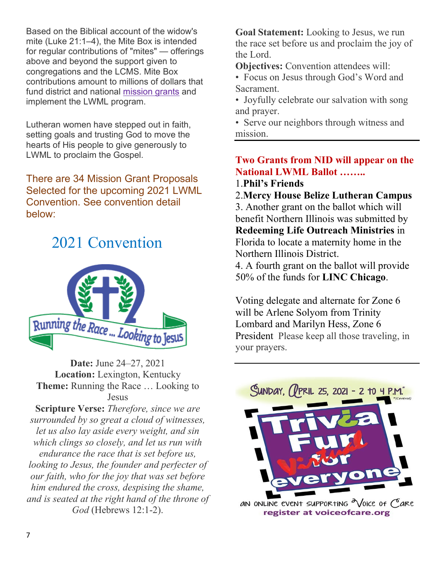Based on the Biblical account of the widow's mite (Luke 21:1–4), the Mite Box is intended for regular contributions of "mites" — offerings above and beyond the support given to congregations and the LCMS. Mite Box contributions amount to millions of dollars that fund district and national [mission grants](https://www.lwml.org/mission-grants) and implement the LWML program.

Lutheran women have stepped out in faith, setting goals and trusting God to move the hearts of His people to give generously to LWML to proclaim the Gospel.

There are 34 Mission Grant Proposals Selected for the upcoming 2021 LWML Convention. See convention detail below:

## 2021 Convention



**Date:** June 24–27, 2021 **Location:** Lexington, Kentucky **Theme:** Running the Race … Looking to Jesus

**Scripture Verse:** *Therefore, since we are surrounded by so great a cloud of witnesses, let us also lay aside every weight, and sin which clings so closely, and let us run with endurance the race that is set before us, looking to Jesus, the founder and perfecter of our faith, who for the joy that was set before him endured the cross, despising the shame, and is seated at the right hand of the throne of God* (Hebrews 12:1-2).

**Goal Statement:** Looking to Jesus, we run the race set before us and proclaim the joy of the Lord.

**Objectives:** Convention attendees will:

- Focus on Jesus through God's Word and Sacrament.
- Joyfully celebrate our salvation with song and prayer.

• Serve our neighbors through witness and mission.

## **Two Grants from NID will appear on the National LWML Ballot ……..**

#### 1.**Phil's Friends**

2.**Mercy House Belize Lutheran Campus**

3. Another grant on the ballot which will benefit Northern Illinois was submitted by **Redeeming Life Outreach Ministries** in Florida to locate a maternity home in the Northern Illinois District.

4. A fourth grant on the ballot will provide 50% of the funds for **LINC Chicago**.

Voting delegate and alternate for Zone 6 will be Arlene Solyom from Trinity Lombard and Marilyn Hess, Zone 6 President Please keep all those traveling, in your prayers.



register at voiceofcare.org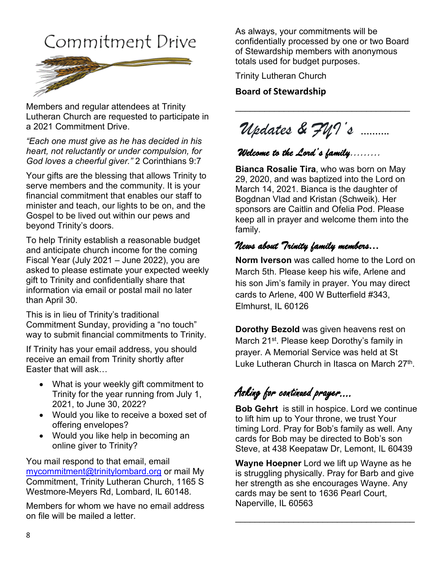## Commitment Drive



Members and regular attendees at Trinity Lutheran Church are requested to participate in a 2021 Commitment Drive.

*"Each one must give as he has decided in his heart, not reluctantly or under compulsion, for God loves a cheerful giver."* 2 Corinthians 9:7

Your gifts are the blessing that allows Trinity to serve members and the community. It is your financial commitment that enables our staff to minister and teach, our lights to be on, and the Gospel to be lived out within our pews and beyond Trinity's doors.

To help Trinity establish a reasonable budget and anticipate church income for the coming Fiscal Year (July 2021 – June 2022), you are asked to please estimate your expected weekly gift to Trinity and confidentially share that information via email or postal mail no later than April 30.

This is in lieu of Trinity's traditional Commitment Sunday, providing a "no touch" way to submit financial commitments to Trinity.

If Trinity has your email address, you should receive an email from Trinity shortly after Easter that will ask…

- What is your weekly gift commitment to Trinity for the year running from July 1, 2021, to June 30, 2022?
- Would you like to receive a boxed set of offering envelopes?
- Would you like help in becoming an online giver to Trinity?

You mail respond to that email, email [mycommitment@trinitylombard.org](about:blank) or mail My Commitment, Trinity Lutheran Church, 1165 S Westmore-Meyers Rd, Lombard, IL 60148.

Members for whom we have no email address on file will be mailed a letter.

As always, your commitments will be confidentially processed by one or two Board of Stewardship members with anonymous totals used for budget purposes.

\_\_\_\_\_\_\_\_\_\_\_\_\_\_\_\_\_\_\_\_\_\_\_\_\_\_\_\_\_\_\_\_\_\_\_\_

Trinity Lutheran Church

**Board of Stewardship**

*Updates & FYI's* **……….**

## *Welcome to the Lord's family………*

**Bianca Rosalie Tira**, who was born on May 29, 2020, and was baptized into the Lord on March 14, 2021. Bianca is the daughter of Bogdnan Vlad and Kristan (Schweik). Her sponsors are Caitlin and Ofelia Pod. Please keep all in prayer and welcome them into the family.

## *News about Trinity family members***…**

**Norm Iverson** was called home to the Lord on March 5th. Please keep his wife, Arlene and his son Jim's family in prayer. You may direct cards to Arlene, 400 W Butterfield #343, Elmhurst, IL 60126

**Dorothy Bezold** was given heavens rest on March 21<sup>st</sup>. Please keep Dorothy's family in prayer. A Memorial Service was held at St Luke Lutheran Church in Itasca on March  $27<sup>th</sup>$ .

## Asking for continued prayer….

**Bob Gehrt** is still in hospice. Lord we continue to lift him up to Your throne, we trust Your timing Lord. Pray for Bob's family as well. Any cards for Bob may be directed to Bob's son Steve, at 438 Keepataw Dr, Lemont, IL 60439

**Wayne Hoepner** Lord we lift up Wayne as he is struggling physically. Pray for Barb and give her strength as she encourages Wayne. Any cards may be sent to 1636 Pearl Court, Naperville, IL 60563

\_\_\_\_\_\_\_\_\_\_\_\_\_\_\_\_\_\_\_\_\_\_\_\_\_\_\_\_\_\_\_\_\_\_\_\_\_